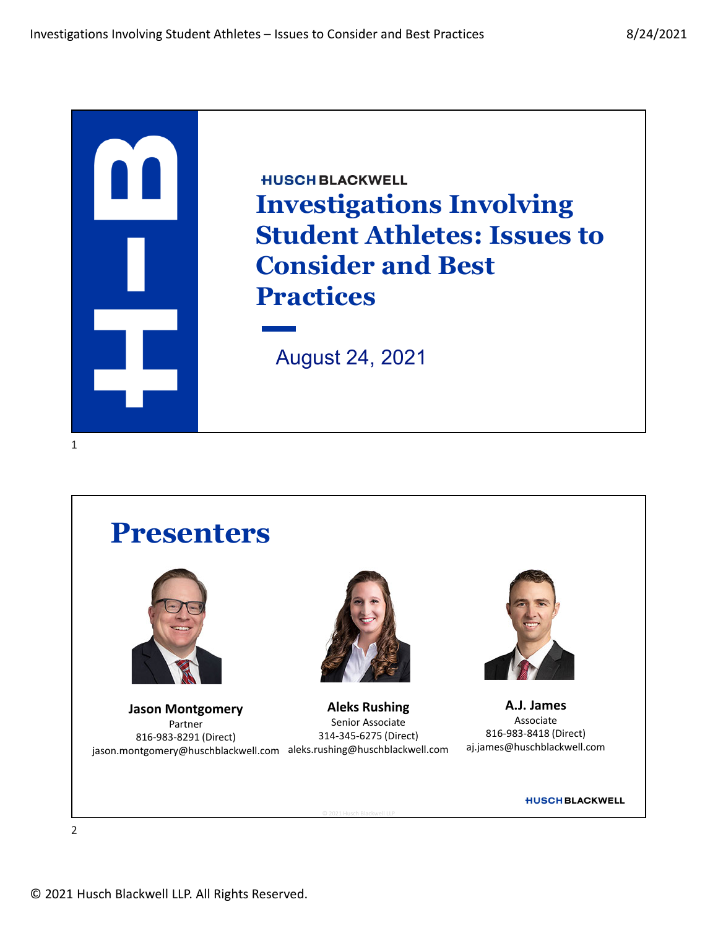





jason.montgomery@huschblackwell.com aleks.rushing@huschblackwell.com **Jason Montgomery** Partner 816‐983‐8291 (Direct)



**Aleks Rushing** Senior Associate 314‐345‐6275 (Direct)

© 2021 Husch Blackwell LLP



**A.J. James** Associate 816‐983‐8418 (Direct) aj.james@huschblackwell.com

**HUSCH BLACKWELL**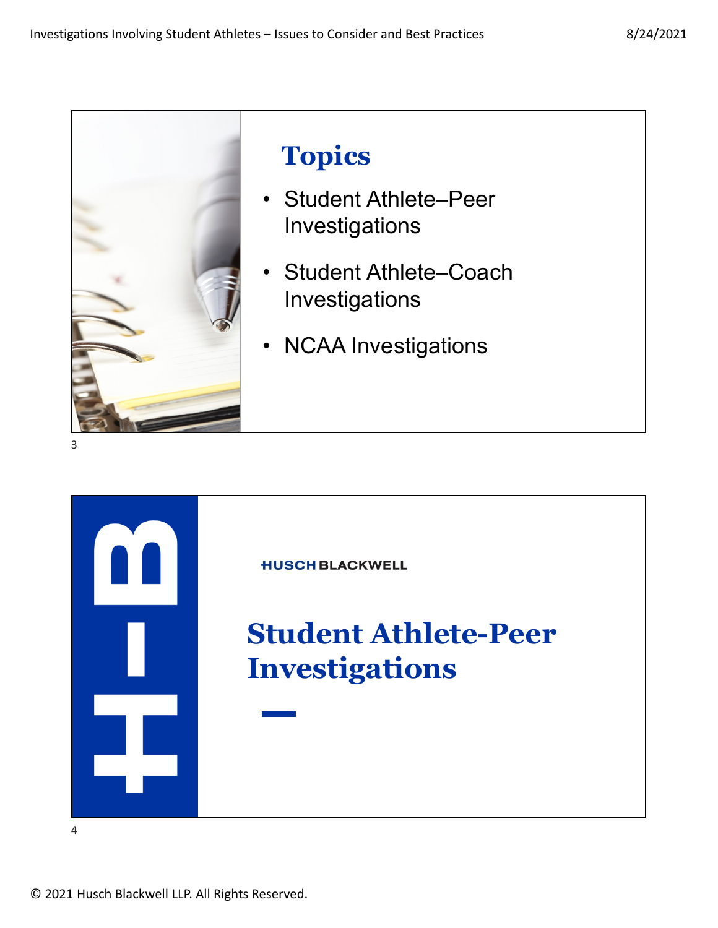

## **Topics**

- Student Athlete–Peer Investigations
- Student Athlete–Coach Investigations
- NCAA Investigations

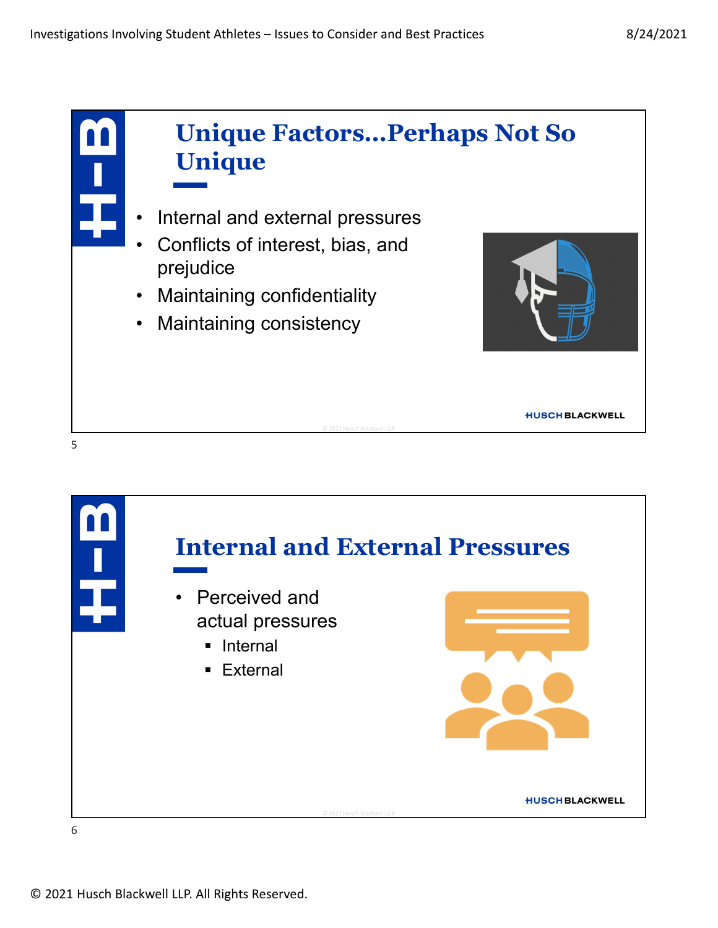

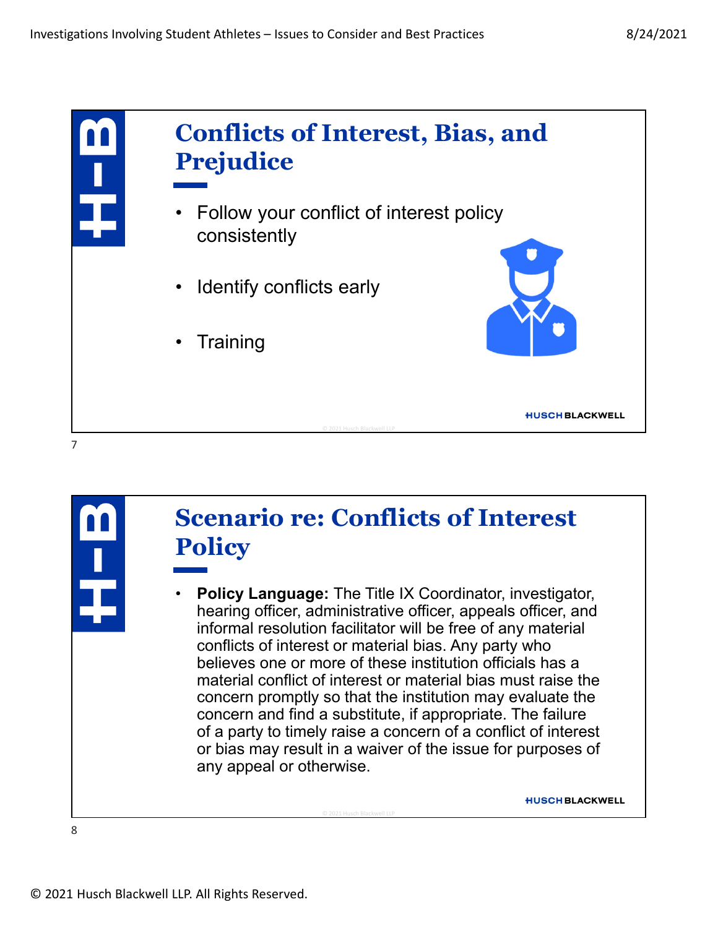



## **Scenario re: Conflicts of Interest Policy**

• **Policy Language:** The Title IX Coordinator, investigator, hearing officer, administrative officer, appeals officer, and informal resolution facilitator will be free of any material conflicts of interest or material bias. Any party who believes one or more of these institution officials has a material conflict of interest or material bias must raise the concern promptly so that the institution may evaluate the concern and find a substitute, if appropriate. The failure of a party to timely raise a concern of a conflict of interest or bias may result in a waiver of the issue for purposes of any appeal or otherwise.

© 2021 Husch Blackwell LLP

**HUSCH BLACKWELL**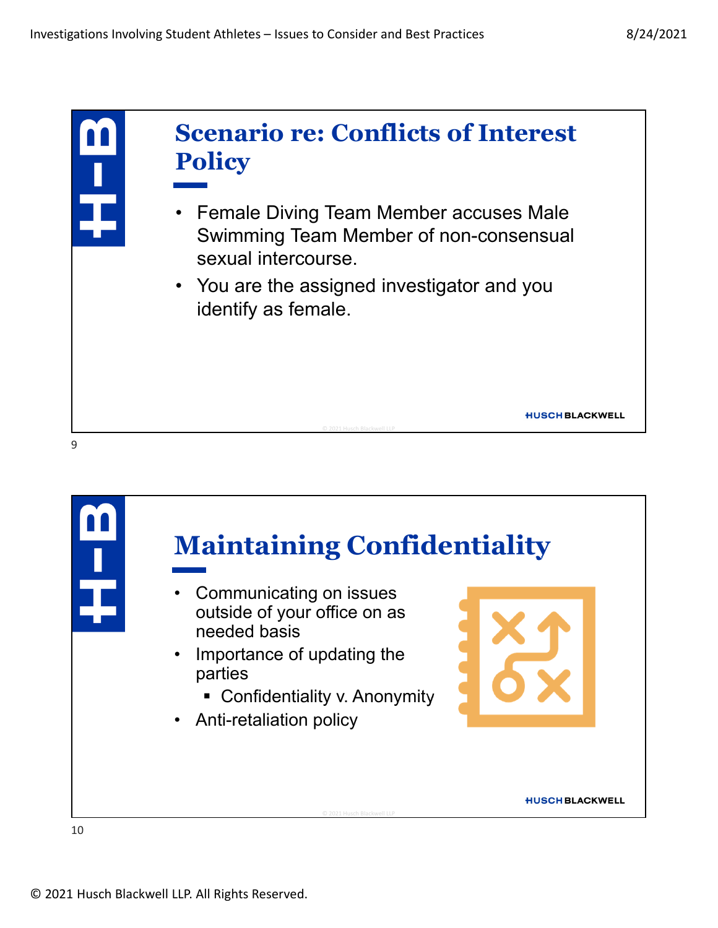

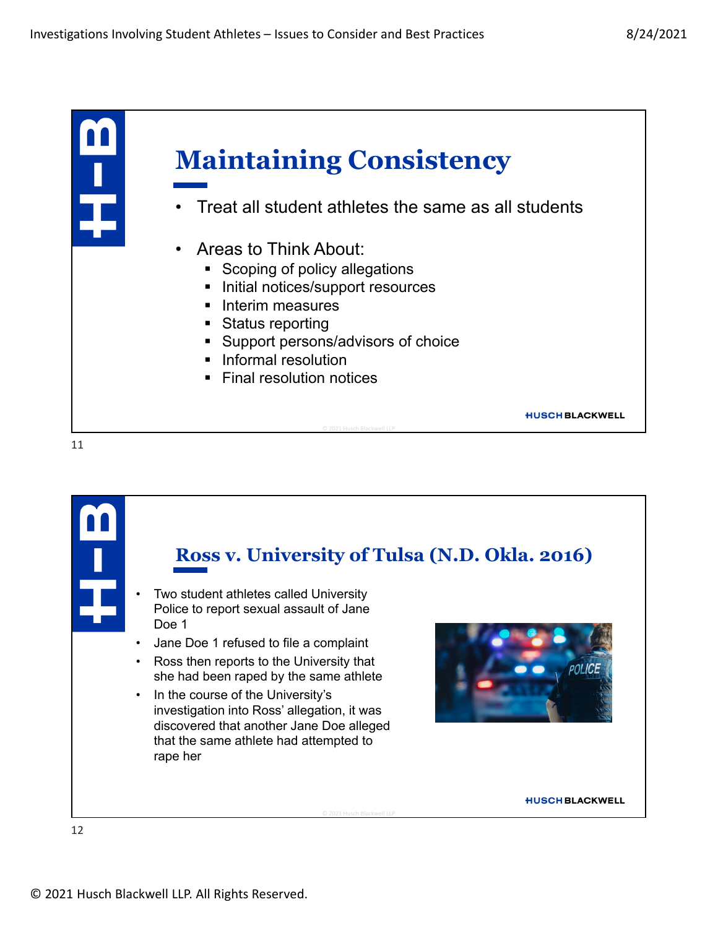

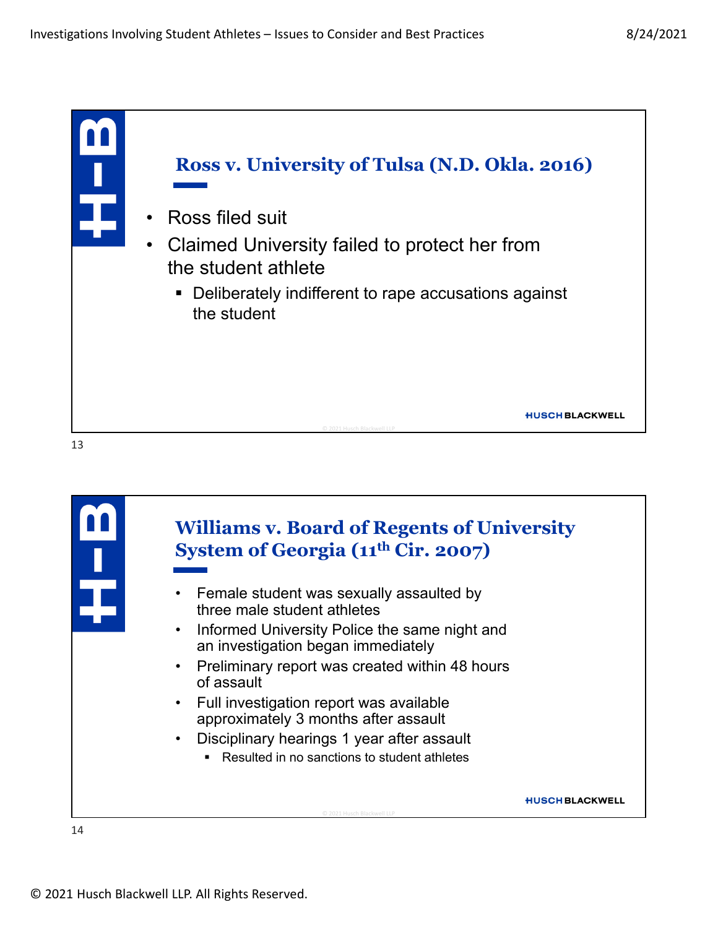



## **Williams v. Board of Regents of University System of Georgia (11th Cir. 2007)**

- Female student was sexually assaulted by three male student athletes
- Informed University Police the same night and an investigation began immediately
- Preliminary report was created within 48 hours of assault
- Full investigation report was available approximately 3 months after assault
- Disciplinary hearings 1 year after assault
	- Resulted in no sanctions to student athletes

© 2021 Husch Blackwell LLP

**HUSCH BLACKWELL**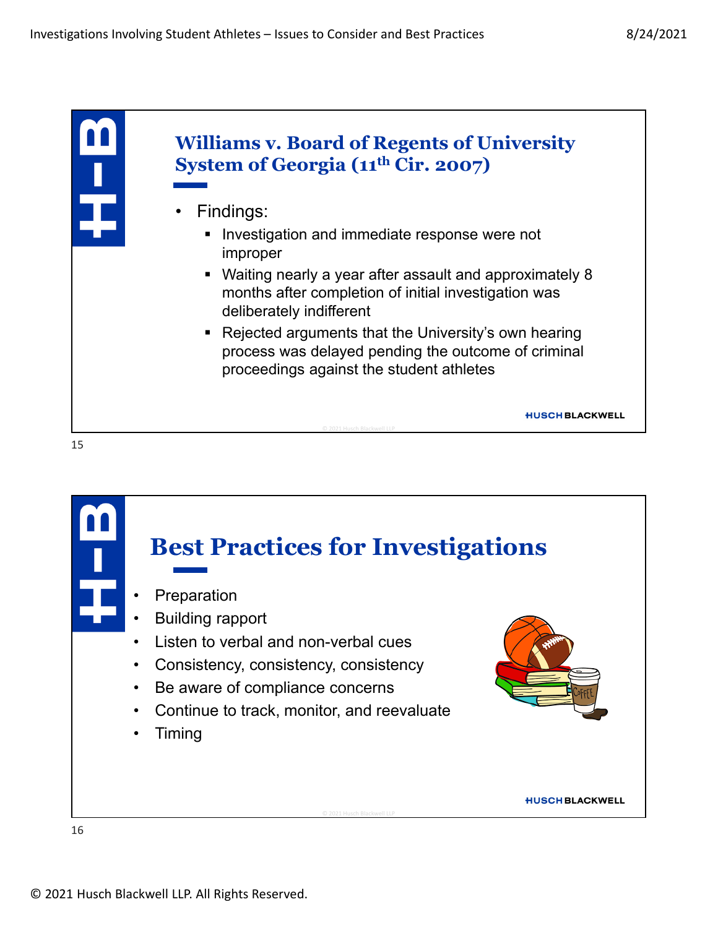

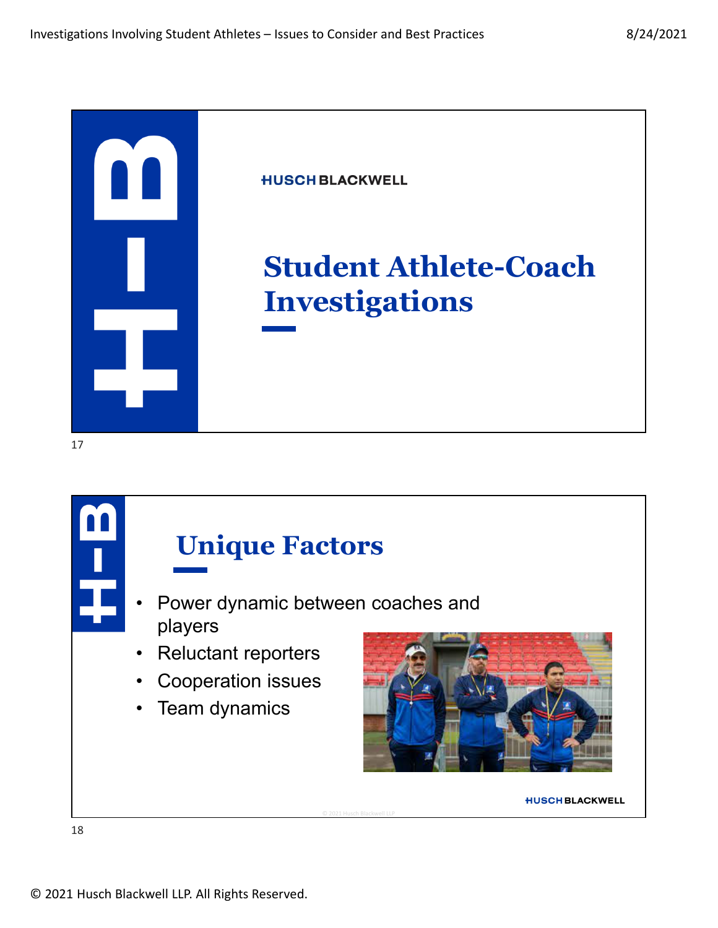

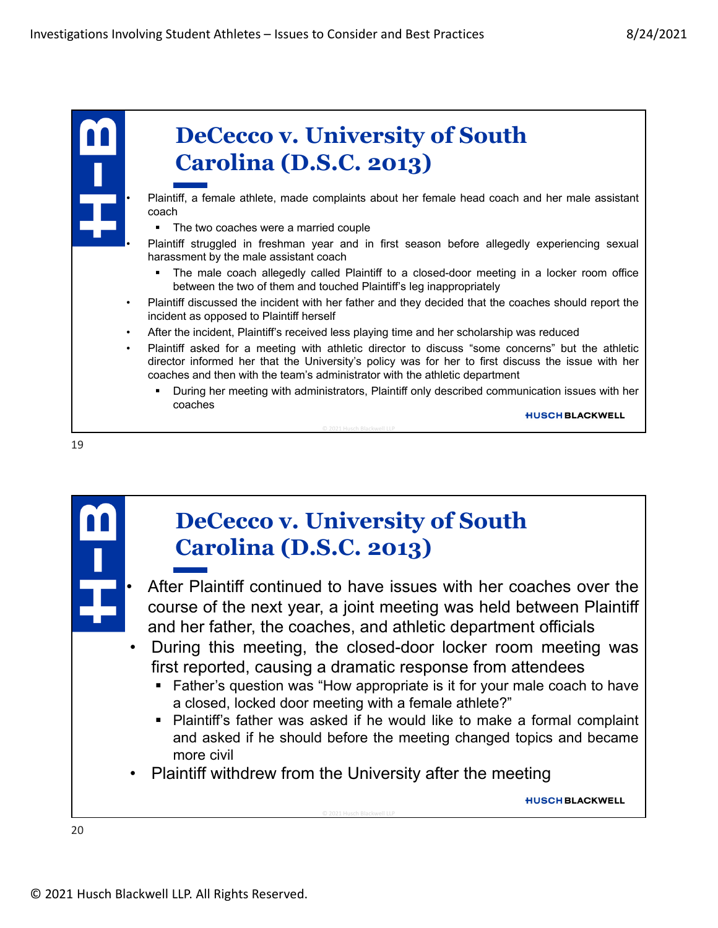



## **DeCecco v. University of South Carolina (D.S.C. 2013)**

• After Plaintiff continued to have issues with her coaches over the course of the next year, a joint meeting was held between Plaintiff and her father, the coaches, and athletic department officials

- During this meeting, the closed-door locker room meeting was first reported, causing a dramatic response from attendees
	- **Father's question was "How appropriate is it for your male coach to have** a closed, locked door meeting with a female athlete?"
	- Plaintiff's father was asked if he would like to make a formal complaint and asked if he should before the meeting changed topics and became more civil
- Plaintiff withdrew from the University after the meeting

© 2021 Husch Blackwell LLP

**HUSCH BLACKWELL**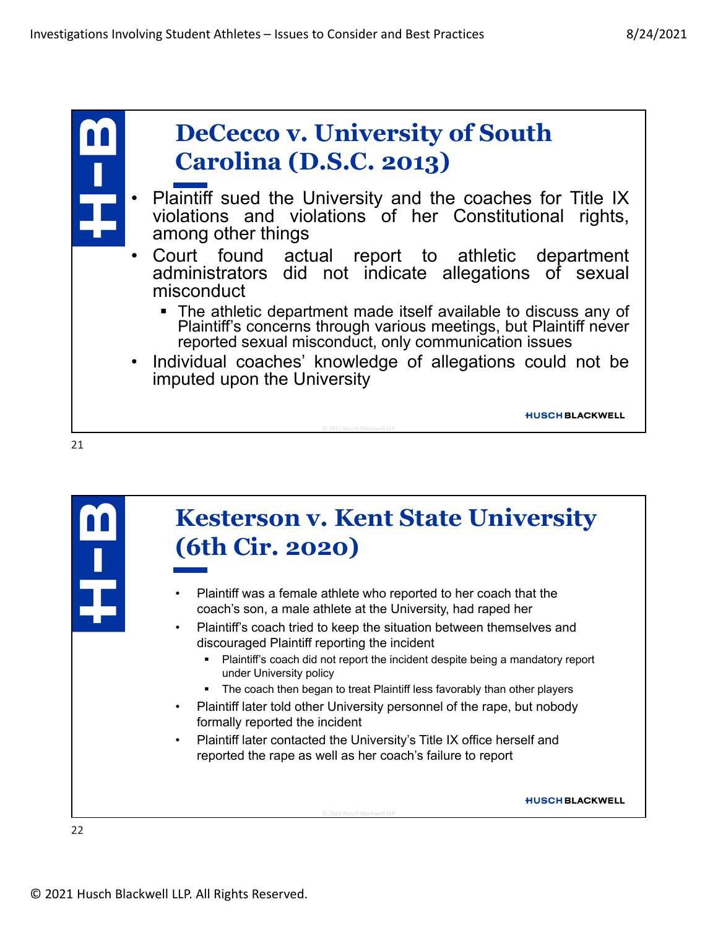

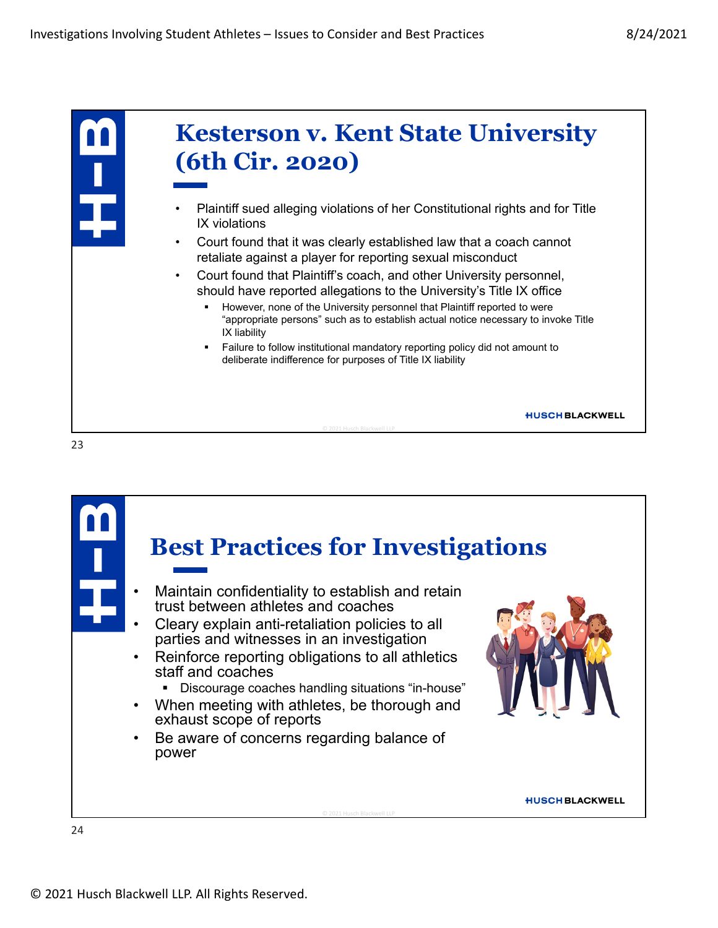

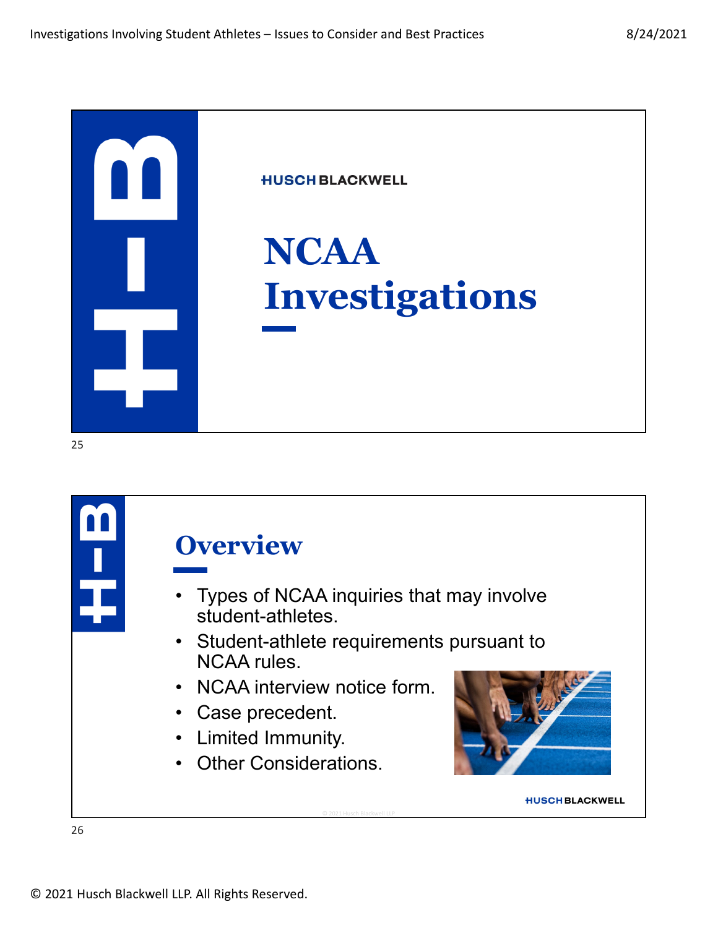

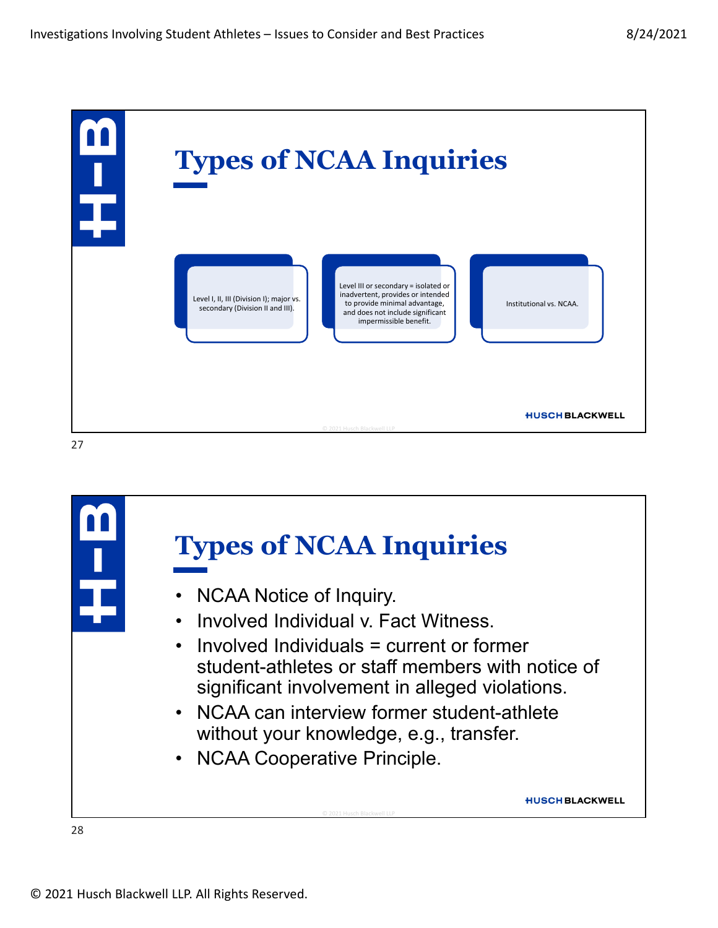

**Types of NCAA Inquiries** • NCAA Notice of Inquiry. • Involved Individual v. Fact Witness. • Involved Individuals = current or former student-athletes or staff members with notice of significant involvement in alleged violations. • NCAA can interview former student-athlete without your knowledge, e.g., transfer. • NCAA Cooperative Principle. **HUSCH BLACKWELL** © 2021 Husch Blackwell LLP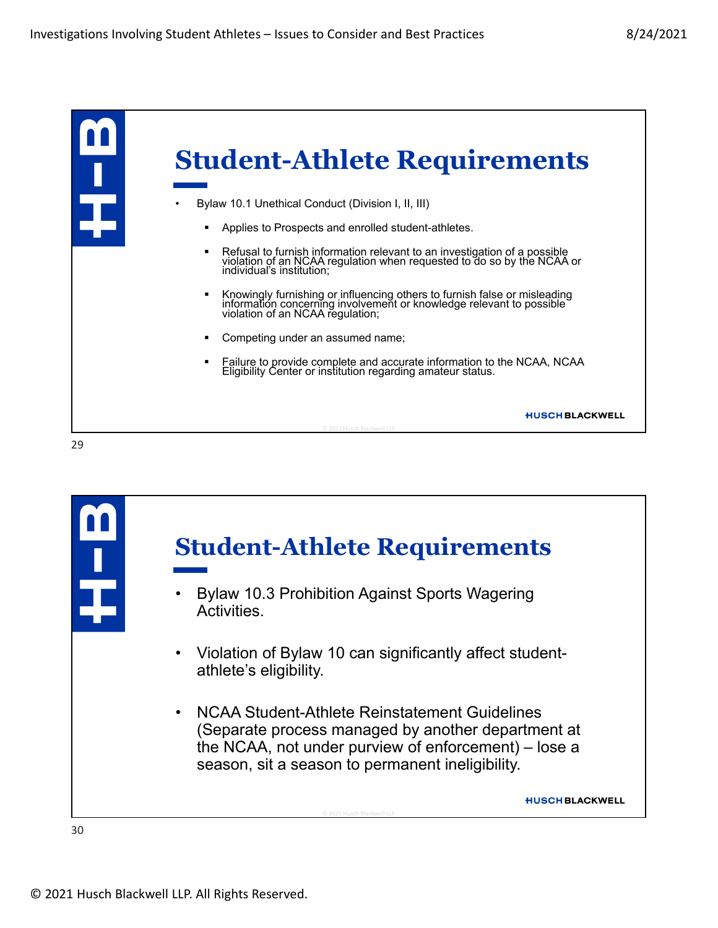

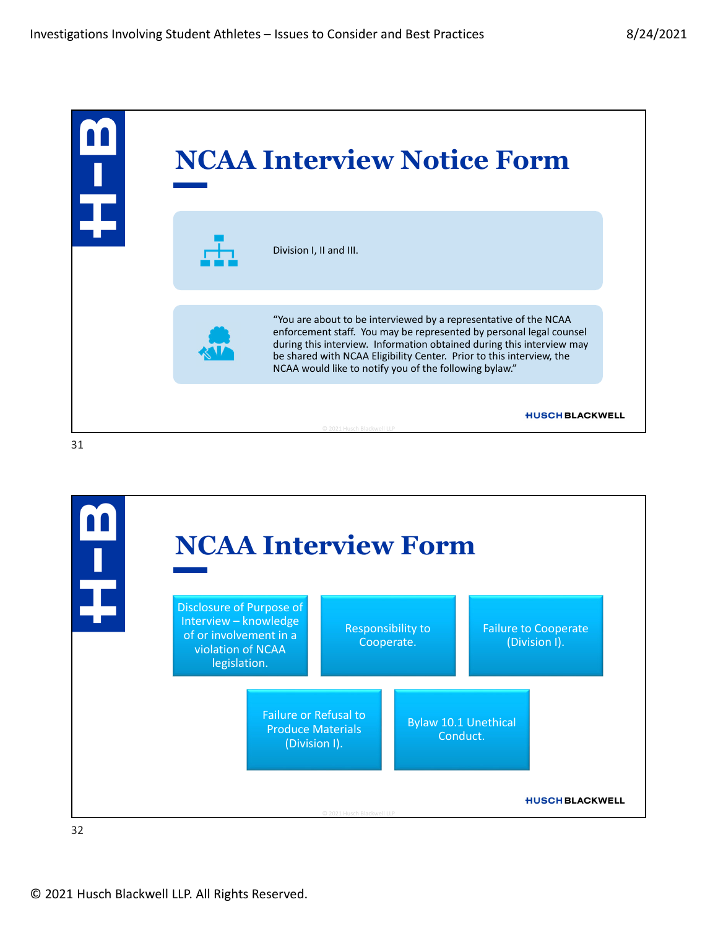

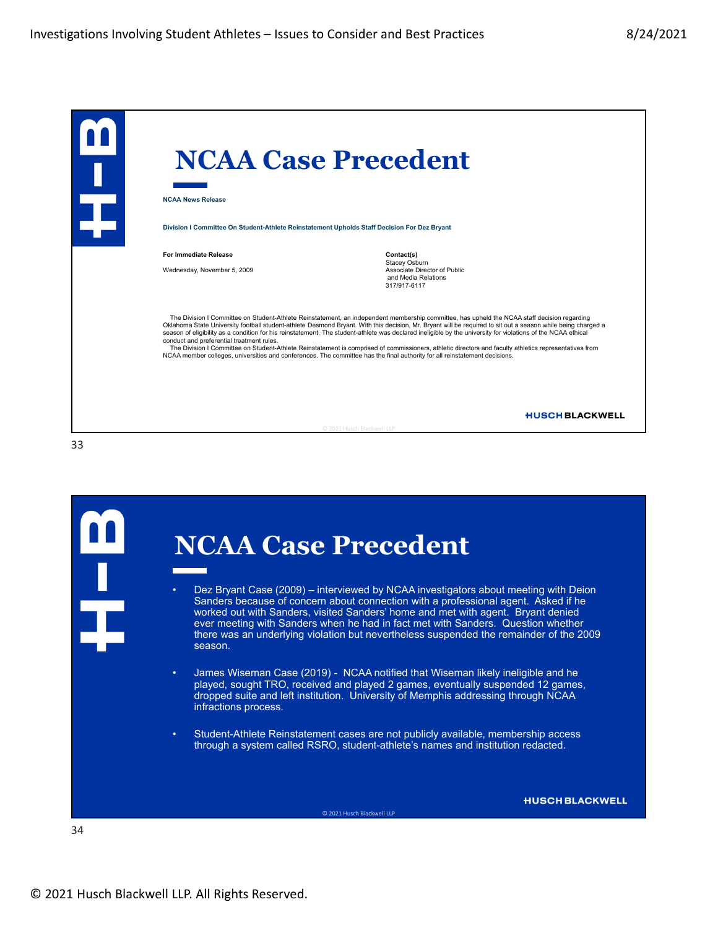|                                                                                             | <b>NCAA Case Precedent</b>                                                                                                                                                                                                                                                                                                                                                                                                                                                                                                                                                                                                                                                                                                                                           |
|---------------------------------------------------------------------------------------------|----------------------------------------------------------------------------------------------------------------------------------------------------------------------------------------------------------------------------------------------------------------------------------------------------------------------------------------------------------------------------------------------------------------------------------------------------------------------------------------------------------------------------------------------------------------------------------------------------------------------------------------------------------------------------------------------------------------------------------------------------------------------|
| <b>NCAA News Release</b>                                                                    |                                                                                                                                                                                                                                                                                                                                                                                                                                                                                                                                                                                                                                                                                                                                                                      |
| Division I Committee On Student-Athlete Reinstatement Upholds Staff Decision For Dez Bryant |                                                                                                                                                                                                                                                                                                                                                                                                                                                                                                                                                                                                                                                                                                                                                                      |
| For Immediate Release<br>Wednesday, November 5, 2009                                        | Contact(s)<br>Stacey Osburn<br>Associate Director of Public<br>and Media Relations<br>317/917-6117                                                                                                                                                                                                                                                                                                                                                                                                                                                                                                                                                                                                                                                                   |
| conduct and preferential treatment rules.                                                   | The Division I Committee on Student-Athlete Reinstatement, an independent membership committee, has upheld the NCAA staff decision regarding<br>Oklahoma State University football student-athlete Desmond Bryant. With this decision, Mr. Bryant will be required to sit out a season while being charged a<br>season of eligibility as a condition for his reinstatement. The student-athlete was declared ineligible by the university for violations of the NCAA ethical<br>The Division I Committee on Student-Athlete Reinstatement is comprised of commissioners, athletic directors and faculty athletics representatives from<br>NCAA member colleges, universities and conferences. The committee has the final authority for all reinstatement decisions. |
|                                                                                             | <b>HUSCH BLACKWELL</b><br>C 2021 Husch Blackwell LLP                                                                                                                                                                                                                                                                                                                                                                                                                                                                                                                                                                                                                                                                                                                 |

**NCAA Case Precedent** • Dez Bryant Case (2009) – interviewed by NCAA investigators about meeting with Deion Sanders because of concern about connection with a professional agent. Asked if he worked out with Sanders, visited Sanders' home and met with agent. Bryant denied ever meeting with Sanders when he had in fact met with Sanders. Question whether there was an underlying violation but nevertheless suspended the remainder of the 2009 season. • James Wiseman Case (2019) - NCAA notified that Wiseman likely ineligible and he played, sought TRO, received and played 2 games, eventually suspended 12 games, dropped suite and left institution. University of Memphis addressing through NCAA infractions process. • Student-Athlete Reinstatement cases are not publicly available, membership access through a system called RSRO, student-athlete's names and institution redacted. **HUSCH BLACKWELL** © 2021 Husch Blackwell LLP 34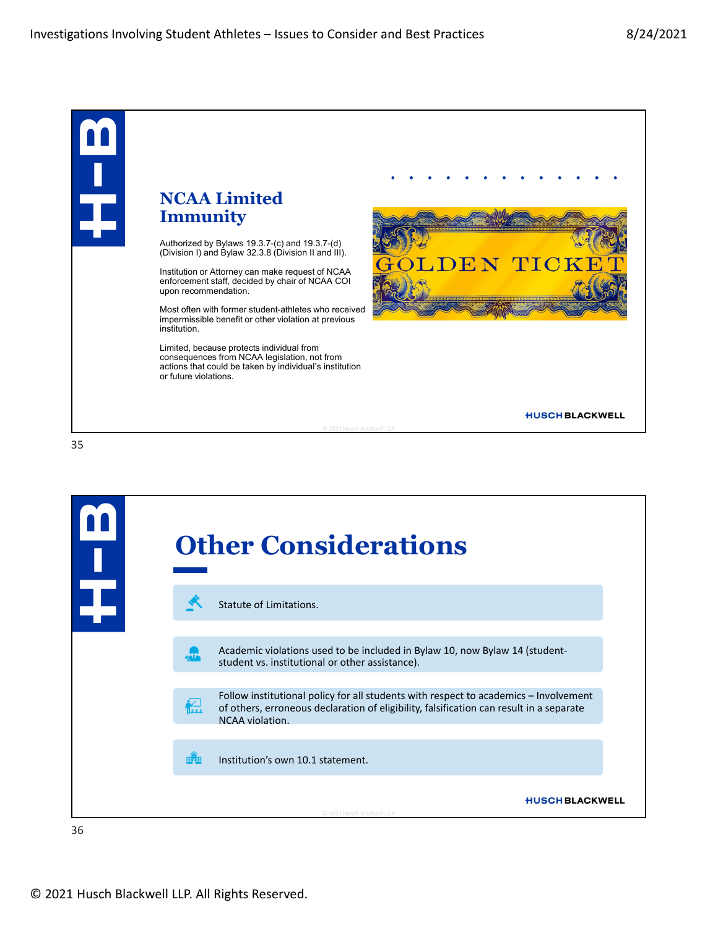